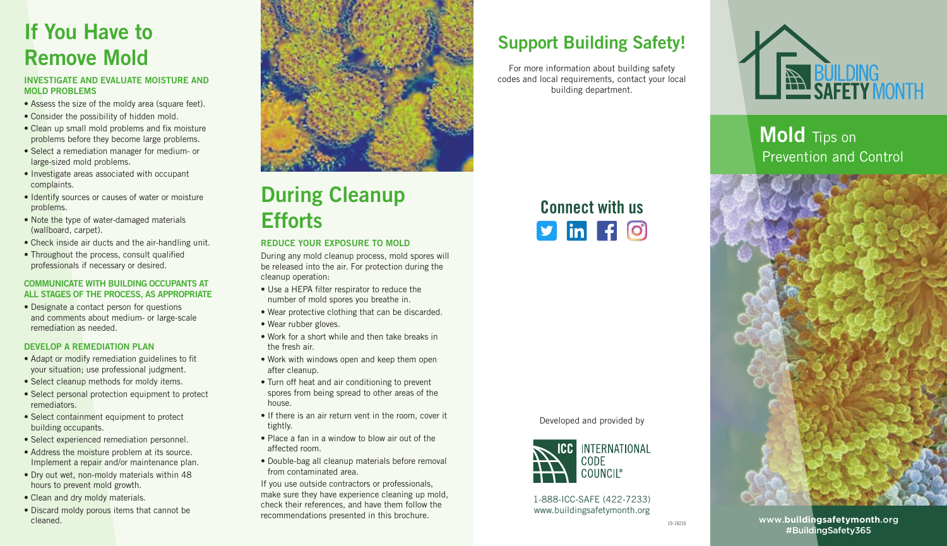## If You Have to Remove Mold

#### INVESTIGATE AND EVALUATE MOISTURE AND MOLD PROBLEMS

- Assess the size of the moldy area (square feet).
- Consider the possibility of hidden mold.
- Clean up small mold problems and fix moisture problems before they become large problems.
- Select a remediation manager for medium- or large-sized mold problems.
- Investigate areas associated with occupant complaints.
- Identify sources or causes of water or moisture problems.
- Note the type of water-damaged materials (wallboard, carpet).
- Check inside air ducts and the air-handling unit.
- Throughout the process, consult qualified professionals if necessary or desired.

### COMMUNICATE WITH BUILDING OCCUPANTS AT ALL STAGES OF THE PROCESS, AS APPROPRIATE

• Designate a contact person for questions and comments about medium- or large-scale remediation as needed.

### DEVELOP A REMEDIATION PLAN

- Adapt or modify remediation guidelines to fit your situation; use professional judgment.
- Select cleanup methods for moldy items.
- Select personal protection equipment to protect remediators.
- Select containment equipment to protect building occupants.
- Select experienced remediation personnel.
- Address the moisture problem at its source. Implement a repair and/or maintenance plan.
- Dry out wet, non-moldy materials within 48 hours to prevent mold growth.
- Clean and dry moldy materials.
- Discard moldy porous items that cannot be cleaned.



## During Cleanup **Efforts**

### REDUCE YOUR EXPOSURE TO MOLD

During any mold cleanup process, mold spores will be released into the air. For protection during the cleanup operation:

- Use a HEPA filter respirator to reduce the number of mold spores you breathe in.
- Wear protective clothing that can be discarded.
- Wear rubber gloves.
- Work for a short while and then take breaks in the fresh air.
- Work with windows open and keep them open after cleanup.
- Turn off heat and air conditioning to prevent spores from being spread to other areas of the house.
- If there is an air return vent in the room, cover it tightly.
- Place a fan in a window to blow air out of the affected room.
- Double-bag all cleanup materials before removal from contaminated area.

If you use outside contractors or professionals, make sure they have experience cleaning up mold, check their references, and have them follow the recommendations presented in this brochure.

### Support Building Safety!

For more information about building safety codes and local requirements, contact your local building department.

Connect with us

 $\n **sin f 0**\n$ 

1-888-ICC-SAFE (422-7233) www.buildingsafetymonth.org

Developed and provided by

**ICC INTERNATIONAL** CODE **COUNCIL®** 



Mold Tips on Prevention and Control



www.**buildingsafetymonth**.org #BuildingSafety365